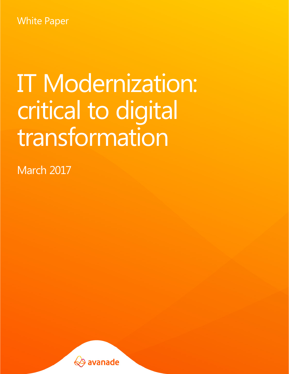White Paper

# IT Modernization: critical to digital transformation

March 2017

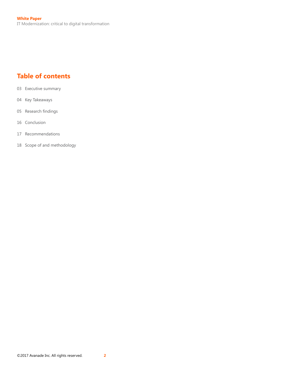# **Table of contents**

- 03 [Executive summary](#page-2-0)
- 04 [Key Takeaways](#page-3-0)
- 05 Research findings
- 16 [Conclusion](#page-15-0)
- 17 [Recommendations](#page-16-0)
- 18 [Scope of and methodology](#page-17-0)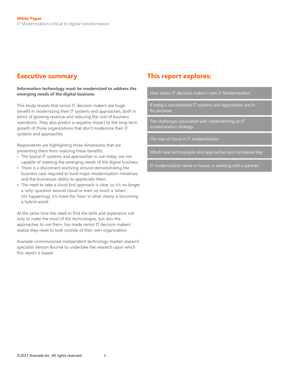#### **Information technology must be modernized to address the emerging needs of the digital business.**

This study reveals that senior IT decision makers see huge benefit in modernizing their IT systems and approaches, both in terms of growing revenue and reducing the cost of business operations. They also predict a negative impact to the long-term growth of those organizations that don't modernize their IT systems and approaches.

Respondents are highlighting three dimensions that are preventing them from realizing these benefits:

- The typical IT systems and approaches in use today, are not capable of meeting the emerging needs of the digital business.
- There is a disconnect revolving around demonstrating the business case required to fund major modernization initiatives, and the businesses ability to appreciate them.
- The need to take a cloud first approach is clear, so it's no longer a 'why' question around cloud or even so much a 'when', (it's happening), it's more the 'how' in what clearly is becoming a hybrid world.

At the same time the need to find the skills and experience not only to make the most of the technologies, but also the approaches to use them, has made senior IT decision makers realize they need to look outside of their own organization.

Avanade commissioned independent technology market research specialist Vanson Bourne to undertake the research upon which this report is based.

## <span id="page-2-0"></span>**Executive summary This report explores:**

How senior IT decision maker's view IT Modernization

If today's conventional IT systems and approaches are fit for purpose

The challenges associated with implementing an IT modernization strategy

The role of cloud in IT modernization

Which new technologies and approaches are considered key

IT modernization done in-house vs working with a partner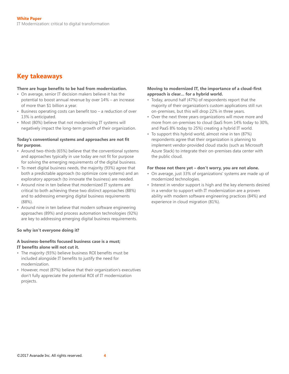## <span id="page-3-0"></span>**Key takeaways**

#### **There are huge benefits to be had from modernization.**

- On average, senior IT decision makers believe it has the potential to boost annual revenue by over 14% – an increase of more than \$1 billion a year.
- Business operating costs can benefit too a reduction of over 13% is anticipated.
- Most (80%) believe that not modernizing IT systems will negatively impact the long-term growth of their organization.

#### **Today's conventional systems and approaches are not fit for purpose.**

- Around two-thirds (65%) believe that the conventional systems and approaches typically in use today are not fit for purpose for solving the emerging requirements of the digital business.
- To meet digital business needs, the majority (93%) agree that both a predictable approach (to optimize core systems) and an exploratory approach (to innovate the business) are needed.
- Around nine in ten believe that modernized IT systems are critical to both achieving these two distinct approaches (88%) and to addressing emerging digital business requirements (88%).
- Around nine in ten believe that modern software engineering approaches (89%) and process automation technologies (92%) are key to addressing emerging digital business requirements.

## **So why isn't everyone doing it?**

## **A business-benefits focused business case is a must;**

- **IT benefits alone will not cut it.**
- The majority (93%) believe business ROI benefits must be included alongside IT benefits to justify the need for modernization.
- However, most (87%) believe that their organization's executives don't fully appreciate the potential ROI of IT modernization projects.

## **Moving to modernized IT, the importance of a cloud-first approach is clear… for a hybrid world.**

- Today, around half (47%) of respondents report that the majority of their organization's custom applications still run on-premises, but this will drop 22% in three years.
- Over the next three years organizations will move more and more from on-premises to cloud (IaaS from 14% today to 30%, and PaaS 8% today to 25%) creating a hybrid IT world.
- To support this hybrid world, almost nine in ten (87%) respondents agree that their organization is planning to implement vendor-provided cloud stacks (such as Microsoft Azure Stack) to integrate their on-premises data center with the public cloud.

#### **For those not there yet – don't worry, you are not alone.**

- On average, just 33% of organizations' systems are made up of modernized technologies.
- Interest in vendor support is high and the key elements desired in a vendor to support with IT modernization are a proven ability with modern software engineering practices (84%) and experience in cloud migration (81%).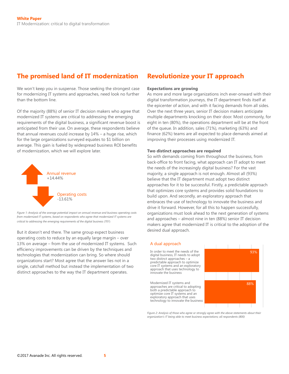## <span id="page-4-0"></span>**The promised land of IT modernization Revolutionize your IT approach**

We won't keep you in suspense. Those seeking the strongest case for modernizing IT systems and approaches, need look no further than the bottom line.

Of the majority (88%) of senior IT decision makers who agree that modernized IT systems are critical to addressing the emerging requirements of the digital business, a significant revenue boost is anticipated from their use. On average, these respondents believe that annual revenues could increase by 14% – a huge rise, which for the large organizations surveyed equates to \$1 billion on average. This gain is fueled by widespread business ROI benefits of modernization, which we will explore later.



*Figure 1: Analysis of the average potential impact on annual revenue and business operating costs from modernized IT systems, based on respondents who agree that modernized IT systems are critical to addressing the emerging requirements of the digital business (701*)

But it doesn't end there. The same group expect business operating costs to reduce by an equally large margin  $-$  over 13% on average – from the use of modernized IT systems. Such efficiency improvements can be driven by the techniques and technologies that modernization can bring. So where should organizations start? Most agree that the answer lies not in a single, catchall method but instead the implementation of two distinct approaches to the way the IT department operates.

#### **Expectations are growing**

As more and more large organizations inch ever-onward with their digital transformation journeys, the IT department finds itself at the epicenter of action, and with it facing demands from all sides. Over the next three years, senior IT decision makers anticipate multiple departments knocking on their door. Most commonly, for eight in ten (80%), the operations department will be at the front of the queue. In addition, sales (71%), marketing (63%) and finance (62%) teams are all expected to place demands aimed at improving their processes using modernized IT.

#### **Two distinct approaches are required**

So with demands coming from throughout the business, from back-office to front facing, what approach can IT adopt to meet the needs of the increasingly digital business? For the vast majority, a single approach is not enough. Almost all (93%) believe that the IT department must adopt two distinct approaches for it to be successful. Firstly, a predictable approach that optimizes core systems and provides solid foundations to build upon. And secondly, an exploratory approach that embraces the use of technology to innovate the business and drive it forward. However, for all this to happen successfully, organizations must look ahead to the next generation of systems and approaches – almost nine in ten (88%) senior IT decision makers agree that modernized IT is critical to the adoption of the desired dual approach.

#### A dual approach

In order to meet the needs of the digital business, IT needs to adopt two distinct approaches – a predictable approach to optimize core IT systems and an exploratory approach that uses technology to innovate the business

Modernized IT systems and approaches are critical to adopting both a predictable approach to optimize core IT systems and an exploratory approach that uses technology to innovate the business



*Figure 2: Analysis of those who agree or strongly agree with the above statements about their organization's IT being able to meet business expectations; all respondents (800)*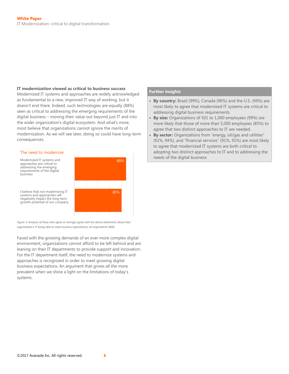#### **IT modernization viewed as critical to business success**

Modernized IT systems and approaches are widely acknowledged as fundamental to a new, improved IT way of working, but it doesn't end there. Indeed, such technologies are equally (88%) seen as critical to addressing the emerging requirements of the digital business – moving their value out beyond just IT and into the wider organization's digital ecosystem. And what's more, most believe that organizations cannot ignore the merits of modernization. As we will see later, doing so could have long-term consequences.

#### The need to modernize

Modernized IT systems and approaches are critical to addressing the emerging requirements of the digital business

systems and approaches will negatively impact the long-term



growth potential of our company

*Figure 3: Analysis of those who agree or strongly agree with the above statements about their organization's IT being able to meet business expectations; all respondents (800)*

Faced with the growing demands of an ever more complex digital environment, organizations cannot afford to be left behind and are leaning on their IT departments to provide support and innovation. For the IT department itself, the need to modernize systems and approaches is recognized in order to meet growing digital business expectations. An argument that grows all the more prevalent when we shine a light on the limitations of today's systems.

- **• By country:** Brazil (99%), Canada (96%) and the U.S. (94%) are most likely to agree that modernized IT systems are critical to addressing digital business requirements.
- **By size:** Organizations of 501 to 1,000 employees (99%) are more likely that those of more than 5,000 employees (85%) to agree that two distinct approaches to IT are needed.
- **By sector:** Organizations from "energy, oil/gas and utilities" (92%, 94%), and "financial services" (91%, 91%) are most likely to agree that modernized IT systems are both critical to adopting two distinct approaches to IT and to addressing the **88% heads** of the digital business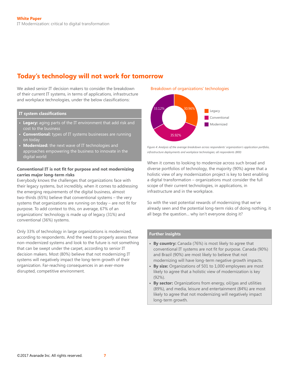# **Today's technology will not work for tomorrow**

We asked senior IT decision makers to consider the breakdown of their current IT systems, in terms of applications, infrastructure and workplace technologies, under the below classifications:

#### **IT system classifications**

- **• Legacy:** aging parts of the IT environment that add risk and cost to the business
- **• Conventional:** types of IT systems businesses are running on today
- **• Modernized:** the next wave of IT technologies and approaches empowering the business to innovate in the digital world

#### **Conventional IT is not fit for purpose and not modernizing carries major long-term risks**

Everybody knows the challenges that organizations face with their legacy systems, but incredibly, when it comes to addressing the emerging requirements of the digital business, almost two-thirds (65%) believe that conventional systems – the very systems that organizations are running on today – are not fit for purpose. To add context to this, on average, 67% of an organizations' technology is made up of legacy (31%) and conventional (36%) systems.

Only 33% of technology in large organizations is modernized, according to respondents. And the need to properly assess these non-modernized systems and look to the future is not something that can be swept under the carpet, according to senior IT decision makers. Most (80%) believe that not modernizing IT systems will negatively impact the long-term growth of their organization. Far-reaching consequences in an ever-more disrupted, competitive environment.

#### Breakdown of organizations' technologies



*Figure 4: Analysis of the average breakdown across respondents' organization's application portfolio, infrastructure deployments and workplace technologies; all respondents (800)*

When it comes to looking to modernize across such broad and diverse portfolios of technology, the majority (90%) agree that a holistic view of any modernization project is key to best enabling  $a$  digital transformation  $-$  organizations must consider the full scope of their current technologies, in applications, in infrastructure and in the workplace.

So with the vast potential rewards of modernizing that we've already seen and the potential long-term risks of doing nothing, it all begs the question… why isn't everyone doing it?

- **• By country:** Canada (76%) is most likely to agree that conventional IT systems are not fit for purpose. Canada (90%) and Brazil (90%) are most likely to believe that not modernizing will have long-term negative growth impacts.
- **• By size:** Organizations of 501 to 1,000 employees are most likely to agree that a holistic view of modernization is key (92%).
- **• By sector:** Organizations from energy, oil/gas and utilities (89%), and media, leisure and entertainment (84%) are most likely to agree that not modernizing will negatively impact long-term growth.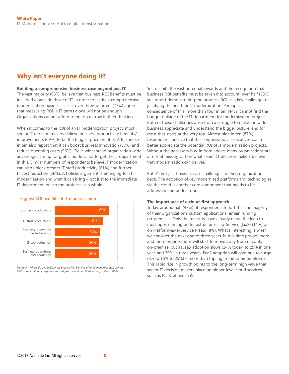## **Why isn't everyone doing it?**

#### **Building a comprehensive business case beyond just IT**

The vast majority (93%) believe that business ROI benefits must be included alongside those of IT in order to justify a comprehensive modernization business case – over three-quarters (77%) agree that measuring ROI in IT terms alone will not be enough. Organizations cannot afford to be too narrow in their thinking.

When it comes to the ROI of an IT modernization project, most senior IT decision makers believe business productivity benefits/ improvements (69%) to be the biggest prize on offer. A further six in ten also report that it can boost business innovation (57%) and reduce operating costs (56%). Clear, widespread organization-wide advantages are up for grabs, but let's not forget the IT department in this. Similar numbers of respondents believe IT modernization can also unlock greater IT staff productivity (61%) and further IT cost reduction (56%). A holistic argument is emerging for IT modernization and what it can bring – not just to the immediate IT department, but to the business as a whole.



*Figure 5: "Where do you believe the biggest ROI benefits of an IT modernization project lie?"; combination of responses ranked first, second and third; all respondents (800)*

Yet, despite the vast potential rewards and the recognition that business ROI benefits must be taken into account, over half (53%) still report demonstrating the business ROI as a key challenge to justifying the need for IT modernization. Perhaps as a consequence of this, more than four in ten (44%) cannot find the budget outside of the IT department for modernization projects. Both of these challenges arise from a struggle to make the wider business appreciate and understand the bigger picture, and for most that starts at the very top. Almost nine in ten (87%) respondents believe that their organization's executives could better appreciate the potential ROI of IT modernization projects. Without the necessary buy-in from above, many organizations are at risk of missing out on what senior IT decision makers believe that modernization can deliver.

But it's not just business case challenges holding organizations back. The adoption of key modernized platforms and technologies via the cloud is another core component that needs to be addressed and understood.

#### **The importance of a cloud-first approach**

Today, around half (47%) of respondents report that the majority of their organization's custom applications remain running on-premises. Only the minority have already made the leap to most apps running on Infrastructure-as-a-Service (IaaS) (14%) or on Platform-as-a-Service (PaaS) (8%). What's interesting is when we consider the next one to three years. In this time period, more and more organizations will start to move away from majority on-premise, but as IaaS adoption slows (14% today, to 29% in one year, and 30% in three years), PaaS adoption will continue to surge (8% to 15% to 25%) – more than tripling in the same timeframe. This rapid rise in growth points to the long-term high value that senior IT decision makers place on higher-level cloud services, such as PaaS, above IaaS.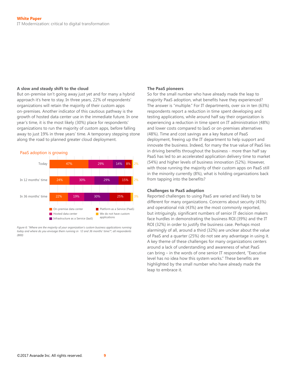#### **A slow and steady shift to the cloud**

But on-premise isn't going away just yet and for many a hybrid approach it's here to stay. In three years, 22% of respondents' organizations will retain the majority of their custom apps on-premises. Another indicator of this cautious pathway is the growth of hosted data center use in the immediate future. In one year's time, it is the most likely (30%) place for respondents' organizations to run the majority of custom apps, before falling away to just 19% in three years' time. A temporary stepping stone along the road to planned greater cloud deployment.



*Figure 6: "Where are the majority of your organization's custom business applications running today and where do you envisage them running in 12 and 36 months' time?"; all respondents (800)*

#### **The PaaS pioneers**

So for the small number who have already made the leap to majority PaaS adoption, what benefits have they experienced? The answer is "multiple." For IT departments, over six in ten (63%) respondents report a reduction in time spent developing and testing applications, while around half say their organization is experiencing a reduction in time spent on IT administration (48%) and lower costs compared to IaaS or on-premises alternatives (48%). Time and cost savings are a key feature of PaaS deployment, freeing up the IT department to help support and innovate the business. Indeed, for many the true value of PaaS lies in driving benefits throughout the business - more than half say PaaS has led to an accelerated application delivery time to market (54%) and higher levels of business innovation (52%). However, with those running the majority of their custom apps on PaaS still in the minority currently (8%), what is holding organizations back from tapping into the benefits?

#### **Challenges to PaaS adoption**

Reported challenges to using PaaS are varied and likely to be different for many organizations. Concerns about security (43%) and operational risk (43%) are the most commonly reported, but intriguingly, significant numbers of senior IT decision makers face hurdles in demonstrating the business ROI (39%) and the IT ROI (32%) in order to justify the business case. Perhaps most alarmingly of all, around a third (32%) are unclear about the value of PaaS and a quarter (25%) do not see any advantage in using it. A key theme of these challenges for many organizations centers around a lack of understanding and awareness of what PaaS can bring – in the words of one senior IT respondent, "Executive level has no idea how this system works." These benefits are highlighted by the small number who have already made the leap to embrace it.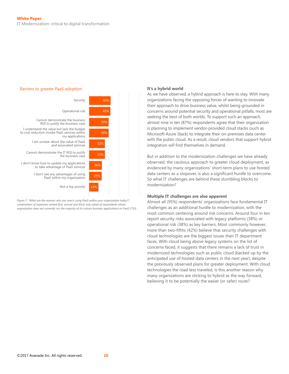

*Figure 7: "What are the reasons why you aren't using PaaS within your organization today?"; combination of responses ranked first, second and third; only asked of respondents whose organization does not currently run the majority of its custom business applications on PaaS (733)*

#### **It's a hybrid world**

As we have observed, a hybrid approach is here to stay. With many organizations facing the opposing forces of wanting to innovate their approach to drive business value, whilst being grounded in concerns around potential security and operational pitfalls, most are seeking the best of both worlds. To support such an approach, almost nine in ten (87%) respondents agree that their organization is planning to implement vendor-provided cloud stacks (such as Microsoft Azure Stack) to integrate their on-premises data center with the public cloud. As a result, cloud vendors that support hybrid integration will find themselves in demand.

But in addition to the modernization challenges we have already observed, the cautious approach to greater cloud deployment, as evidenced by many organizations' short-term plans to use hosted data centers as a stopover, is also a significant hurdle to overcome. So what IT challenges are behind these stumbling blocks to modernization?

#### **Multiple IT challenges are also apparent**

Almost all (95%) respondents' organizations face fundamental IT challenges as an additional hurdle to modernization, with the most common centering around risk concerns. Around four in ten report security risks associated with legacy platforms (38%) or operational risk (38%) as key barriers. Most commonly however, more than two-fifths (42%) believe that security challenges with cloud technologies are the biggest issues their IT department faces. With cloud being above legacy systems on the list of concerns faced, it suggests that there remains a lack of trust in modernized technologies such as public cloud (backed up by the anticipated use of hosted data centers in the next year), despite the previously observed plans for greater deployment. With cloud technologies the road less traveled, is this another reason why many organizations are sticking to hybrid as the way forward, believing it to be potentially the easier (or safer) route?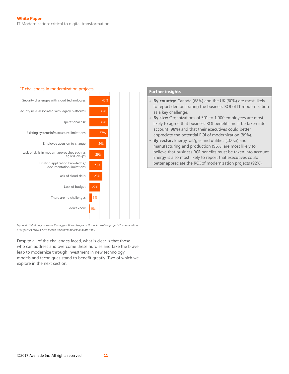

*Figure 8: "What do you see as the biggest IT challenges in IT modernization projects?"; combination of responses ranked first, second and third; all respondents (800)*

Despite all of the challenges faced, what is clear is that those who can address and overcome these hurdles and take the brave leap to modernize through investment in new technology models and techniques stand to benefit greatly. Two of which we explore in the next section.

- **• By country:** Canada (68%) and the UK (60%) are most likely to report demonstrating the business ROI of IT modernization as a key challenge.
- **• By size:** Organizations of 501 to 1,000 employees are most likely to agree that business ROI benefits must be taken into account (98%) and that their executives could better appreciate the potential ROI of modernization (89%).
- **• By sector:** Energy, oil/gas and utilities (100%) and manufacturing and production (96%) are most likely to believe that business ROI benefits must be taken into account. Energy is also most likely to report that executives could better appreciate the ROI of modernization projects (92%).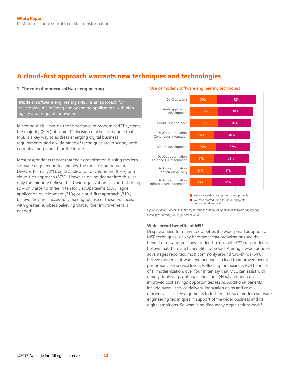## **A cloud-first approach warrants new techniques and technologies**

#### **1. The role of modern software engineering**

**Modern software** engineering (MSE) is an approach for developing, maintaining and operating applications with high agility and frequent innovation.

Mirroring their views on the importance of modernized IT systems, the majority (89%) of senior IT decision makers also agree that MSE is a key way to address emerging digital business requirements, and a wide range of techniques are in scope, both currently and planned for the future.

Most respondents report that their organization is using modern software engineering techniques, the most common being DevOps teams (72%), agile application development (69%) or a cloud-first approach (67%). However, diving deeper into this use, only the minority believe that their organization is expert at doing so – only around three in ten for DevOps teams (30%), agile application development (31%) or cloud-first approach (31%) believe they are successfully making full use of these practices, with greater numbers believing that further improvement is needed.





but we could improve

*Figure 9: Analysis of respondents' organizations that are using modern software engineering techniques currently; all respondents (800)*

#### **Widespread benefits of MSE**

Despite a need for many to do better, the widespread adoption of MSE techniques is a key barometer that organizations see the benefit of new approaches  $-$  indeed, almost all (97%) respondents believe that there are IT benefits to be had. Among a wide range of advantages reported, most commonly around two-thirds (64%) believe modern software engineering can lead to improved overall performance in service levels. Reflecting the business ROI benefits of IT modernization, over four in ten say that MSE can assist with rapidly deploying continual innovation (46%) and open up improved cost savings opportunities (42%). Additional benefits include overall service delivery, innovation gains and cost efficiencies - all key arguments to further embrace modern software engineering techniques in support of the wider business and its digital ambitions. So what is holding many organizations back?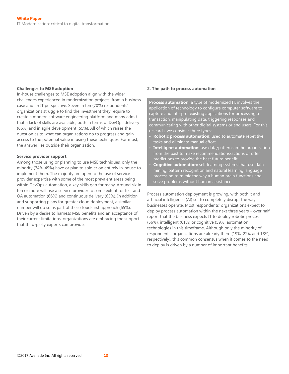#### **Challenges to MSE adoption**

In-house challenges to MSE adoption align with the wider challenges experienced in modernization projects, from a business case and an IT perspective. Seven in ten (70%) respondents' organizations struggle to find the investment they require to create a modern software engineering platform and many admit that a lack of skills are available, both in terms of DevOps delivery (66%) and in agile development (55%). All of which raises the question as to what can organizations do to progress and gain access to the potential value in using these techniques. For most, the answer lies outside their organization.

#### **Service provider support**

Among those using or planning to use MSE techniques, only the minority (34%-49%) have or plan to soldier on entirely in-house to implement them. The majority are open to the use of service provider expertise with some of the most prevalent areas being within DevOps automation, a key skills gap for many. Around six in ten or more will use a service provider to some extent for test and QA automation (66%) and continuous delivery (65%). In addition, and supporting plans for greater cloud deployment, a similar number will do so as part of their cloud-first approach (65%). Driven by a desire to harness MSE benefits and an acceptance of their current limitations, organizations are embracing the support that third-party experts can provide.

#### **2. The path to process automation**

**Process automation,** a type of modernized IT, involves the application of technology to configure computer software to capture and interpret existing applications for processing a transaction, manipulating data, triggering responses and communicating with other digital systems or end users. For this research, we consider three types:

- **• Robotic process automation:** used to automate repetitive tasks and eliminate manual effort
- **• Intelligent automation:** use data/patterns in the organization from the past to make recommendations/actions or offer predictions to provide the best future benefit
- **• Cognitive automation:** self-learning systems that use data mining, pattern recognition and natural learning language processing to mimic the way a human brain functions and solve problems without human assistance

Process automation deployment is growing, with both it and artificial intelligence (AI) set to completely disrupt the way businesses operate. Most respondents' organizations expect to deploy process automation within the next three years – over half report that the business expects IT to deploy robotic process (56%), intelligent (61%) or cognitive (59%) automation technologies in this timeframe. Although only the minority of respondents' organizations are already there (19%, 22% and 18%, respectively), this common consensus when it comes to the need to deploy is driven by a number of important benefits.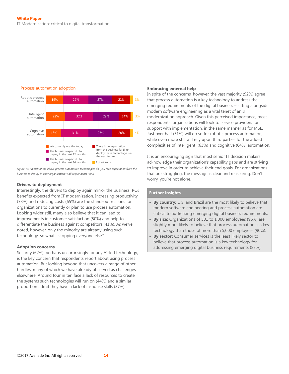

#### Process automation adoption

*Figure 10: "Which of the above process automation technologies do you face expectation from the business to deploy in your organization?"; all respondents (800)*

#### **Drivers to deployment**

Interestingly, the drivers to deploy again mirror the business ROI benefits expected from IT modernization. Increasing productivity (73%) and reducing costs (65%) are the stand-out reasons for organizations to currently or plan to use process automation. Looking wider still, many also believe that it can lead to improvements in customer satisfaction (50%) and help to differentiate the business against competitors (41%). As we've noted, however, only the minority are already using such technology, so what's stopping everyone else?

#### **Adoption concerns**

Security (62%), perhaps unsurprisingly for any AI-led technology, is the key concern that respondents report about using process automation. But looking beyond that uncovers a range of other hurdles, many of which we have already observed as challenges elsewhere. Around four in ten face a lack of resources to create the systems such technologies will run on (44%) and a similar proportion admit they have a lack of in-house skills (37%).

#### **Embracing external help**

In spite of the concerns, however, the vast majority (92%) agree that process automation is a key technology to address the emerging requirements of the digital business – sitting alongside modern software engineering as a vital tenet of an IT modernization approach. Given this perceived importance, most respondents' organizations will look to service providers for support with implementation, in the same manner as for MSE. Just over half (51%) will do so for robotic process automation, while even more still will rely upon third parties for the added complexities of intelligent (63%) and cognitive (64%) automation.

It is an encouraging sign that most senior IT decision makers acknowledge their organization's capability gaps and are striving to improve in order to achieve their end goals. For organizations that are struggling, the message is clear and reassuring: Don't worry, you're not alone.

- **• By country:** U.S. and Brazil are the most likely to believe that modern software engineering and process automation are critical to addressing emerging digital business requirements.
- **• By size:** Organizations of 501 to 1,000 employees (96%) are slightly more likely to believe that process automation is a key technology than those of more than 5,000 employees (90%).
- **• By sector:** Consumer services is the least likely sector to believe that process automation is a key technology for addressing emerging digital business requirements (83%).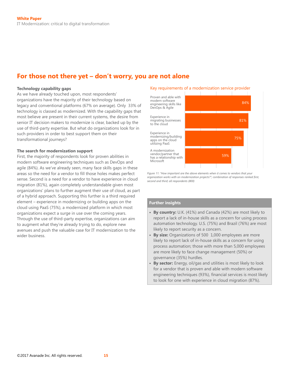## **For those not there yet – don't worry, you are not alone**

#### **Technology capability gaps**

As we have already touched upon, most respondents' organizations have the majority of their technology based on legacy and conventional platforms (67% on average). Only 33% of technology is classed as modernized. With the capability gaps that most believe are present in their current systems, the desire from senior IT decision makers to modernize is clear, backed up by the use of third-party expertise. But what do organizations look for in such providers in order to best support them on their transformational journeys?

#### **The search for modernization support**

First, the majority of respondents look for proven abilities in modern software engineering techniques such as DevOps and agile (84%). As we've already seen, many face skills gaps in these areas so the need for a vendor to fill those holes makes perfect sense. Second is a need for a vendor to have experience in cloud migration (81%), again completely understandable given most organizations' plans to further augment their use of cloud, as part of a hybrid approach. Supporting this further is a third required element – experience in modernizing or building apps on the cloud using PaaS (75%), a modernized platform in which most organizations expect a surge in use over the coming years. Through the use of third-party expertise, organizations can aim to augment what they're already trying to do, explore new avenues and push the valuable case for IT modernization to the wider business.

#### Key requirements of a modernization service provider



Figure 11: "How important are the above elements when it comes to vendors that your *organization works with on modernization projects?"; combination of responses ranked first, second and third; all respondents (800)*

- **• By country:** U.K. (41%) and Canada (42%) are most likely to report a lack of in-house skills as a concern for using process automation technology. U.S. (75%) and Brazil (76%) are most likely to report security as a concern.
- **By size:** Organizations of 500 1,000 employees are more likely to report lack of in-house skills as a concern for using process automation; those with more than 5,000 employees are more likely to face change management (50%) or governance (35%) hurdles.
- **• By sector:** Energy, oil/gas and utilities is most likely to look for a vendor that is proven and able with modern software engineering techniques (93%), financial services is most likely to look for one with experience in cloud migration (87%).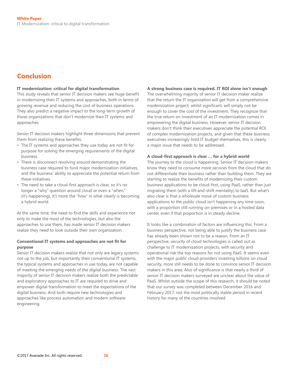## <span id="page-15-0"></span>**Conclusion**

#### **IT modernization: critical for digital transformation**

This study reveals that senior IT decision makers see huge benefit in modernizing their IT systems and approaches, both in terms of growing revenue and reducing the cost of business operations. They also predict a negative impact to the long-term growth of those organizations that don't modernize their IT systems and approaches.

Senior IT decision makers highlight three dimensions that prevent them from realizing these benefits:

- The IT systems and approaches they use today are not fit for purpose for solving the emerging requirements of the digital business.
- There is disconnect revolving around demonstrating the business case required to fund major modernization initiatives, and the business' ability to appreciate the potential return from these initiatives.
- The need to take a cloud-first approach is clear, so it's no longer a "why" question around cloud or even a "when," (it's happening), it's more the "how" in what clearly is becoming a hybrid world.

At the same time, the need to find the skills and experience not only to make the most of the technologies, but also the approaches to use them, has made senior IT decision makers realize they need to look outside their own organization.

## **Conventional IT systems and approaches are not fit for purpose**

Senior IT decision makers realize that not only are legacy systems not up to the job, but importantly their conventional IT systems, the typical systems and approaches in use today, are not capable of meeting the emerging needs of the digital business. The vast majority of senior IT decision makers realize both the predictable and exploratory approaches to IT are required to drive and empower digital transformation to meet the expectations of the digital business. And both require new technologies and approaches like process automation and modern software engineering.

#### **A strong business case is required. IT ROI alone isn't enough**

The overwhelming majority of senior IT decision maker realize that the return the IT organization will get from a comprehensive modernization project, whilst significant, will simply not be enough to cover the cost of the investment. They recognize that the true return on investment of an IT modernization comes in empowering the digital business. However, senior IT decision makers don't think their executives appreciate the potential ROI of complex modernization projects, and given that these business executives increasingly hold IT budget themselves, this is clearly a major issue that needs to be addressed.

## **A cloud-first approach is clear … for a hybrid world**

The journey to the cloud is happening. Senior IT decision makers know they need to consume more services from the cloud that do not differentiate their business rather than building them. They are starting to realize the benefits of modernizing their custom business applications to be cloud-first, using PaaS, rather than just migrating them (with a lift-and-shift mentality) to IaaS. But what's also clear is that a wholesale move of custom business applications to the public cloud isn't happening any time soon, with a proportion still running on-premises or in a hosted data center, even if that proportion is in steady decline.

It looks like a combination of factors are influencing this. From a business perspective, not being able to justify the business case has already been shown not to be a reason. From an IT perspective, security of cloud technologies is called out as challenge to IT modernization projects, with security and operational risk the top reasons for not using PaaS. It seems even with the major public cloud providers investing billions on cloud security, more still needs to be done to convince senior IT decision makers in this area. Also of significance is that nearly a third of senior IT decision makers surveyed are unclear about the value of PaaS. Whilst outside the scope of this research, it should be noted that our survey was completed between December 2016 and February 2017, not the most politically stable period in recent history for many of the countries involved.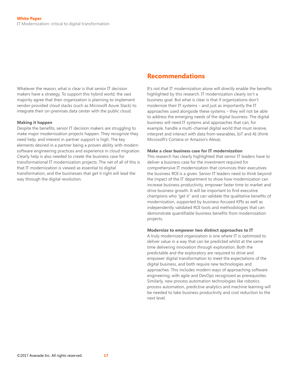<span id="page-16-0"></span>Whatever the reason, what is clear is that senior IT decision makers have a strategy. To support this hybrid world, the vast majority agree that their organization is planning to implement vendor-provided cloud stacks (such as Microsoft Azure Stack) to integrate their on-premises data center with the public cloud.

#### **Making it happen**

Despite the benefits, senior IT decision makers are struggling to make major modernization projects happen. They recognize they need help, and interest in partner support is high. The key elements desired in a partner being a proven ability with modern software engineering practices and experience in cloud migration. Clearly help is also needed to create the business case for transformational IT modernization projects. The net of all of this is that IT modernization is viewed as essential to digital transformation, and the businesses that get it right will lead the way through the digital revolution.

## **Recommendations**

It's not that IT modernization alone will directly enable the benefits highlighted by this research. IT modernization clearly isn't a business goal. But what is clear is that if organizations don't modernize their IT systems – and just as importantly the IT approaches used alongside these systems – they will not be able to address the emerging needs of the digital business. The digital business will need IT systems and approaches that can, for example, handle a multi-channel digital world that must receive, interpret and interact with data from wearables, IoT and AI (think Microsoft's Cortana or Amazon's Alexa).

#### **Make a clear business case for IT modernization**

This research has clearly highlighted that senior IT leaders have to deliver a business case for the investment required for comprehensive IT modernization that convinces their executives the business ROI is a given. Senior IT leaders need to think beyond the impact of the IT department to show how modernization can increase business productivity, empower faster time to market and drive business growth. It will be important to find executive champions who "get it" and can validate the qualitative benefits of modernization, supported by business-focused KPIs as well as independently validated ROI tools and methodologies that can demonstrate quantifiable business benefits from modernization projects.

#### **Modernize to empower two distinct approaches to IT**

A truly modernized organization is one where IT is optimized to deliver value in a way that can be predicted whilst at the same time delivering innovation through exploration. Both the predictable and the exploratory are required to drive and empower digital transformation to meet the expectations of the digital business, and both require new technologies and approaches. This includes modern ways of approaching software engineering, with agile and DevOps recognized as prerequisites. Similarly, new process automation technologies like robotics process automation, predictive analytics and machine learning will be needed to take business productivity and cost reduction to the next level.